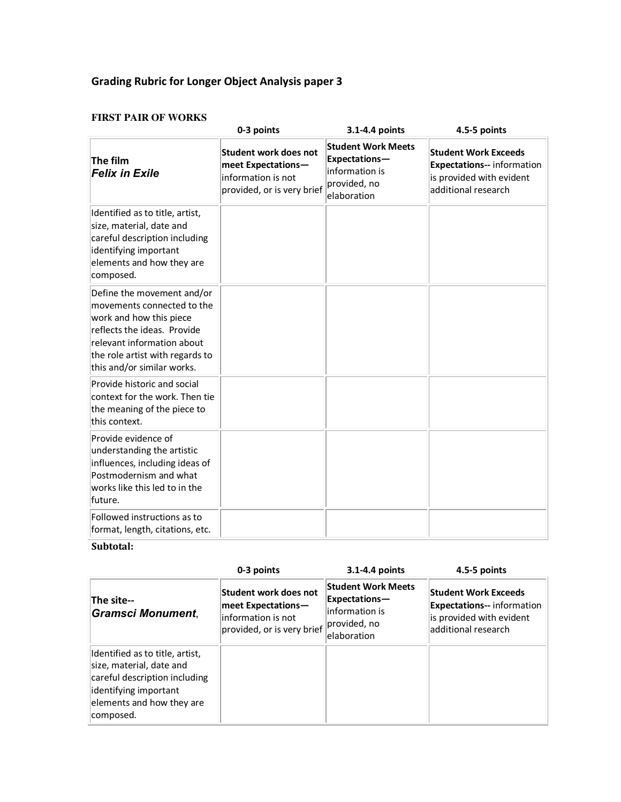# **Grading Rubric for Longer Object Analysis paper 3**

#### **FIRST PAIR OF WORKS**

|                                                                                                                                                                                                                   | 0-3 points                                                                                             | 3.1-4.4 points                                                                              | 4.5-5 points                                                                                                        |
|-------------------------------------------------------------------------------------------------------------------------------------------------------------------------------------------------------------------|--------------------------------------------------------------------------------------------------------|---------------------------------------------------------------------------------------------|---------------------------------------------------------------------------------------------------------------------|
| The film<br><b>Felix in Exile</b>                                                                                                                                                                                 | <b>Student work does not</b><br>meet Expectations-<br>information is not<br>provided, or is very brief | <b>Student Work Meets</b><br>Expectations-<br>information is<br>provided, no<br>elaboration | <b>Student Work Exceeds</b><br><b>Expectations-- information</b><br>is provided with evident<br>additional research |
| Identified as to title, artist,<br>size, material, date and<br>careful description including<br>identifying important<br>elements and how they are<br>composed.                                                   |                                                                                                        |                                                                                             |                                                                                                                     |
| Define the movement and/or<br>movements connected to the<br>work and how this piece<br>reflects the ideas. Provide<br>relevant information about<br>the role artist with regards to<br>this and/or similar works. |                                                                                                        |                                                                                             |                                                                                                                     |
| Provide historic and social<br>context for the work. Then tie<br>the meaning of the piece to<br>this context.                                                                                                     |                                                                                                        |                                                                                             |                                                                                                                     |
| Provide evidence of<br>understanding the artistic<br>influences, including ideas of<br>Postmodernism and what<br>works like this led to in the<br>future.                                                         |                                                                                                        |                                                                                             |                                                                                                                     |
| Followed instructions as to<br>format, length, citations, etc.                                                                                                                                                    |                                                                                                        |                                                                                             |                                                                                                                     |

## **Subtotal:**

|                                                                                                                                                                 | 0-3 points                                                                                      | 3.1-4.4 points                                                                              | 4.5-5 points                                                                                                        |
|-----------------------------------------------------------------------------------------------------------------------------------------------------------------|-------------------------------------------------------------------------------------------------|---------------------------------------------------------------------------------------------|---------------------------------------------------------------------------------------------------------------------|
| The site--<br><b>Gramsci Monument,</b>                                                                                                                          | Student work does not<br>meet Expectations-<br>information is not<br>provided, or is very brief | <b>Student Work Meets</b><br>Expectations-<br>information is<br>provided, no<br>elaboration | <b>Student Work Exceeds</b><br><b>Expectations--</b> information<br>is provided with evident<br>additional research |
| Identified as to title, artist,<br>size, material, date and<br>careful description including<br>identifying important<br>elements and how they are<br>composed. |                                                                                                 |                                                                                             |                                                                                                                     |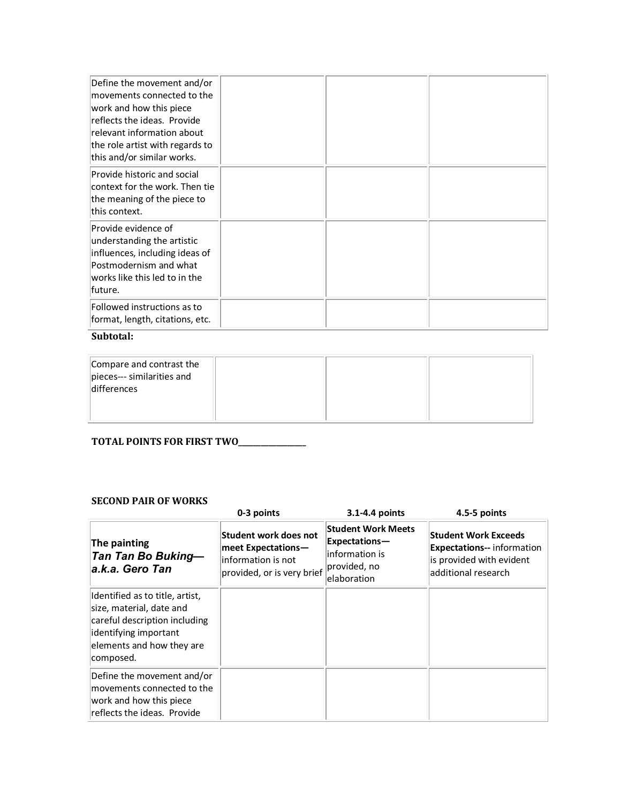| Define the movement and/or<br>movements connected to the<br>work and how this piece<br>reflects the ideas. Provide<br>relevant information about<br>the role artist with regards to<br>this and/or similar works. |  |  |
|-------------------------------------------------------------------------------------------------------------------------------------------------------------------------------------------------------------------|--|--|
| Provide historic and social<br>context for the work. Then tie<br>the meaning of the piece to<br>this context.                                                                                                     |  |  |
| Provide evidence of<br>understanding the artistic<br>influences, including ideas of<br>Postmodernism and what<br>works like this led to in the<br>lfuture.                                                        |  |  |
| Followed instructions as to<br>format, length, citations, etc.                                                                                                                                                    |  |  |

# Subtotal:

| Compare and contrast the<br>pieces--- similarities and<br>differences |  |  |
|-----------------------------------------------------------------------|--|--|
|                                                                       |  |  |

# TOTAL POINTS FOR FIRST TWO\_\_\_\_\_\_\_\_\_\_\_\_\_

#### **SECOND PAIR OF WORKS**

|                                                                                                                                                                 | 0-3 points                                                                                      | 3.1-4.4 points                                                                              | 4.5-5 points                                                                                                        |
|-----------------------------------------------------------------------------------------------------------------------------------------------------------------|-------------------------------------------------------------------------------------------------|---------------------------------------------------------------------------------------------|---------------------------------------------------------------------------------------------------------------------|
| The painting<br><b>Tan Tan Bo Buking-</b><br>la.k.a. Gero Tan                                                                                                   | Student work does not<br>meet Expectations-<br>information is not<br>provided, or is very brief | <b>Student Work Meets</b><br>Expectations-<br>information is<br>provided, no<br>elaboration | <b>Student Work Exceeds</b><br><b>Expectations-- information</b><br>is provided with evident<br>additional research |
| Identified as to title, artist,<br>size, material, date and<br>careful description including<br>identifying important<br>elements and how they are<br>composed. |                                                                                                 |                                                                                             |                                                                                                                     |
| Define the movement and/or<br>movements connected to the<br>work and how this piece<br>reflects the ideas. Provide                                              |                                                                                                 |                                                                                             |                                                                                                                     |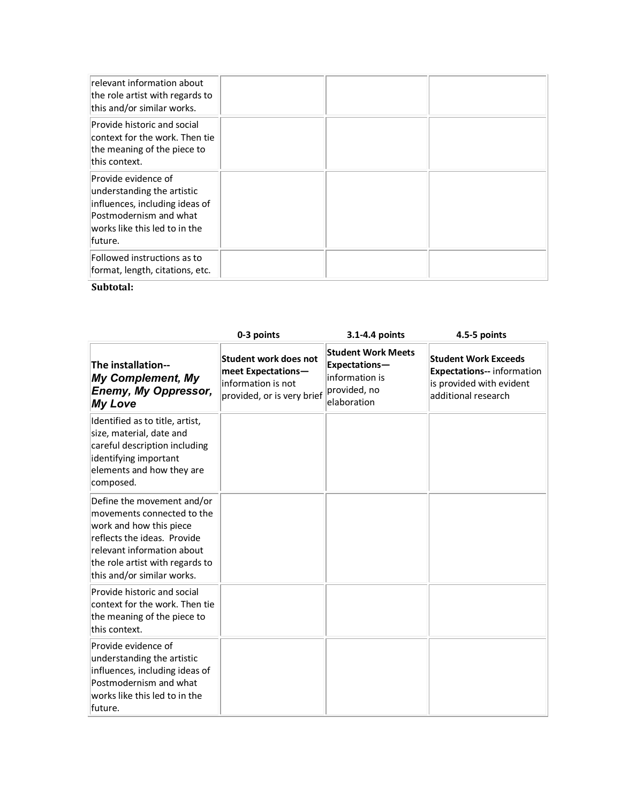| relevant information about<br>the role artist with regards to<br>this and/or similar works.                                                                |  |  |
|------------------------------------------------------------------------------------------------------------------------------------------------------------|--|--|
| Provide historic and social<br>context for the work. Then tie<br>the meaning of the piece to<br>this context.                                              |  |  |
| Provide evidence of<br>understanding the artistic<br>influences, including ideas of<br>Postmodernism and what<br>works like this led to in the<br>lfuture. |  |  |
| Followed instructions as to<br>format, length, citations, etc.                                                                                             |  |  |

## **Subtotal:**

|                                                                                                                                                                                                                   | 0-3 points                                                                                      | 3.1-4.4 points                                                                              | 4.5-5 points                                                                                                        |
|-------------------------------------------------------------------------------------------------------------------------------------------------------------------------------------------------------------------|-------------------------------------------------------------------------------------------------|---------------------------------------------------------------------------------------------|---------------------------------------------------------------------------------------------------------------------|
| The installation--<br><b>My Complement, My</b><br><b>Enemy, My Oppressor,</b><br><b>My Love</b>                                                                                                                   | Student work does not<br>meet Expectations-<br>information is not<br>provided, or is very brief | <b>Student Work Meets</b><br>Expectations-<br>information is<br>provided, no<br>elaboration | <b>Student Work Exceeds</b><br><b>Expectations-- information</b><br>is provided with evident<br>additional research |
| Identified as to title, artist,<br>size, material, date and<br>careful description including<br>identifying important<br>elements and how they are<br>composed.                                                   |                                                                                                 |                                                                                             |                                                                                                                     |
| Define the movement and/or<br>movements connected to the<br>work and how this piece<br>reflects the ideas. Provide<br>relevant information about<br>the role artist with regards to<br>this and/or similar works. |                                                                                                 |                                                                                             |                                                                                                                     |
| Provide historic and social<br>context for the work. Then tie<br>the meaning of the piece to<br>this context.                                                                                                     |                                                                                                 |                                                                                             |                                                                                                                     |
| Provide evidence of<br>understanding the artistic<br>influences, including ideas of<br>Postmodernism and what<br>works like this led to in the<br>future.                                                         |                                                                                                 |                                                                                             |                                                                                                                     |